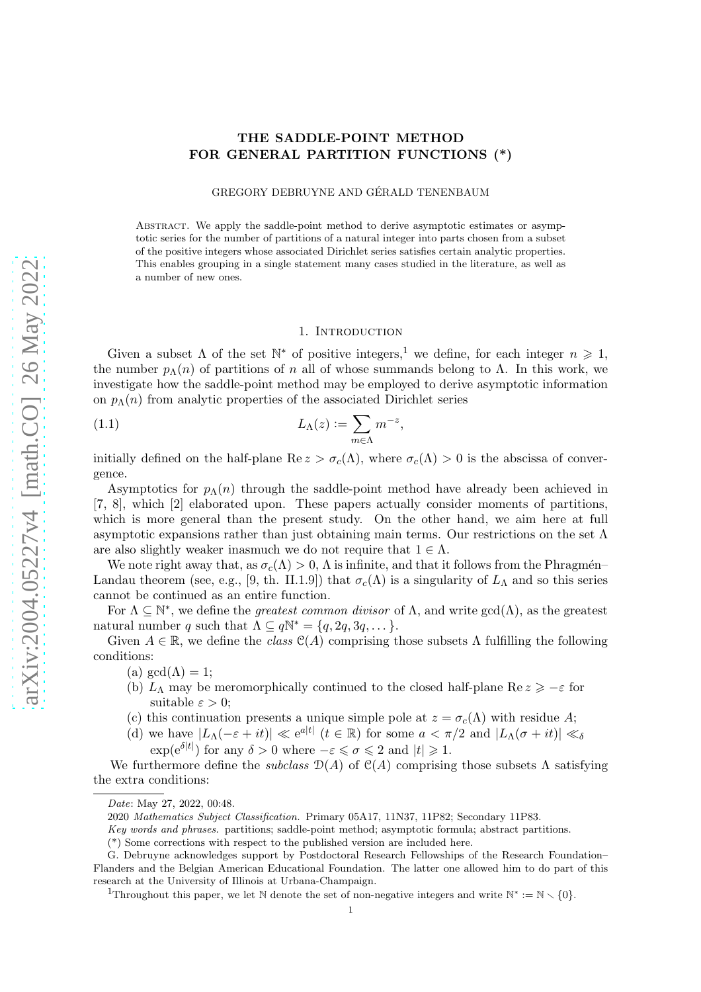# THE SADDLE-POINT METHOD FOR GENERAL PARTITION FUNCTIONS (\*)

GREGORY DEBRUYNE AND GÉRALD TENENBAUM

Abstract. We apply the saddle-point method to derive asymptotic estimates or asymptotic series for the number of partitions of a natural integer into parts chosen from a subset of the positive integers whose associated Dirichlet series satisfies certain analytic properties. This enables grouping in a single statement many cases studied in the literature, as well as a number of new ones.

# 1. INTRODUCTION

Given a subset  $\Lambda$  of the set  $\mathbb{N}^*$  of positive integers,<sup>1</sup> we define, for each integer  $n \geq 1$ , the number  $p_{\Lambda}(n)$  of partitions of n all of whose summands belong to  $\Lambda$ . In this work, we investigate how the saddle-point method may be employed to derive asymptotic information on  $p_{\Lambda}(n)$  from analytic properties of the associated Dirichlet series

(1.1) 
$$
L_{\Lambda}(z) := \sum_{m \in \Lambda} m^{-z},
$$

initially defined on the half-plane  $\text{Re } z > \sigma_c(\Lambda)$ , where  $\sigma_c(\Lambda) > 0$  is the abscissa of convergence.

Asymptotics for  $p_{\Lambda}(n)$  through the saddle-point method have already been achieved in [7, 8], which [2] elaborated upon. These papers actually consider moments of partitions, which is more general than the present study. On the other hand, we aim here at full asymptotic expansions rather than just obtaining main terms. Our restrictions on the set  $\Lambda$ are also slightly weaker inasmuch we do not require that  $1 \in \Lambda$ .

We note right away that, as  $\sigma_c(\Lambda) > 0$ ,  $\Lambda$  is infinite, and that it follows from the Phragmén– Landau theorem (see, e.g., [9, th. II.1.9]) that  $\sigma_c(\Lambda)$  is a singularity of  $L_{\Lambda}$  and so this series cannot be continued as an entire function.

For  $\Lambda \subseteq \mathbb{N}^*$ , we define the *greatest common divisor* of  $\Lambda$ , and write  $gcd(\Lambda)$ , as the greatest natural number q such that  $\Lambda \subseteq q\mathbb{N}^* = \{q, 2q, 3q, \dots\}.$ 

Given  $A \in \mathbb{R}$ , we define the *class*  $\mathcal{C}(A)$  comprising those subsets  $\Lambda$  fulfilling the following conditions:

- (a)  $gcd(\Lambda) = 1;$
- (b)  $L_\Lambda$  may be meromorphically continued to the closed half-plane Re  $z \geq -\varepsilon$  for suitable  $\varepsilon > 0$ ;
- (c) this continuation presents a unique simple pole at  $z = \sigma_c(\Lambda)$  with residue A;
- (d) we have  $|L_{\Lambda}(-\varepsilon + it)| \ll e^{a|t|}$   $(t \in \mathbb{R})$  for some  $a < \pi/2$  and  $|L_{\Lambda}(\sigma + it)| \ll \delta$ 
	- $\exp(e^{\delta|t|})$  for any  $\delta > 0$  where  $-\varepsilon \leq \sigma \leq 2$  and  $|t| \geq 1$ .

We furthermore define the *subclass*  $\mathcal{D}(A)$  of  $\mathcal{C}(A)$  comprising those subsets  $\Lambda$  satisfying the extra conditions:

*Date*: May 27, 2022, 00:48.

<sup>2020</sup> *Mathematics Subject Classification.* Primary 05A17, 11N37, 11P82; Secondary 11P83.

*Key words and phrases.* partitions; saddle-point method; asymptotic formula; abstract partitions.

<sup>(\*)</sup> Some corrections with respect to the published version are included here.

G. Debruyne acknowledges support by Postdoctoral Research Fellowships of the Research Foundation– Flanders and the Belgian American Educational Foundation. The latter one allowed him to do part of this research at the University of Illinois at Urbana-Champaign.

<sup>&</sup>lt;sup>1</sup>Throughout this paper, we let N denote the set of non-negative integers and write  $\mathbb{N}^* := \mathbb{N} \setminus \{0\}.$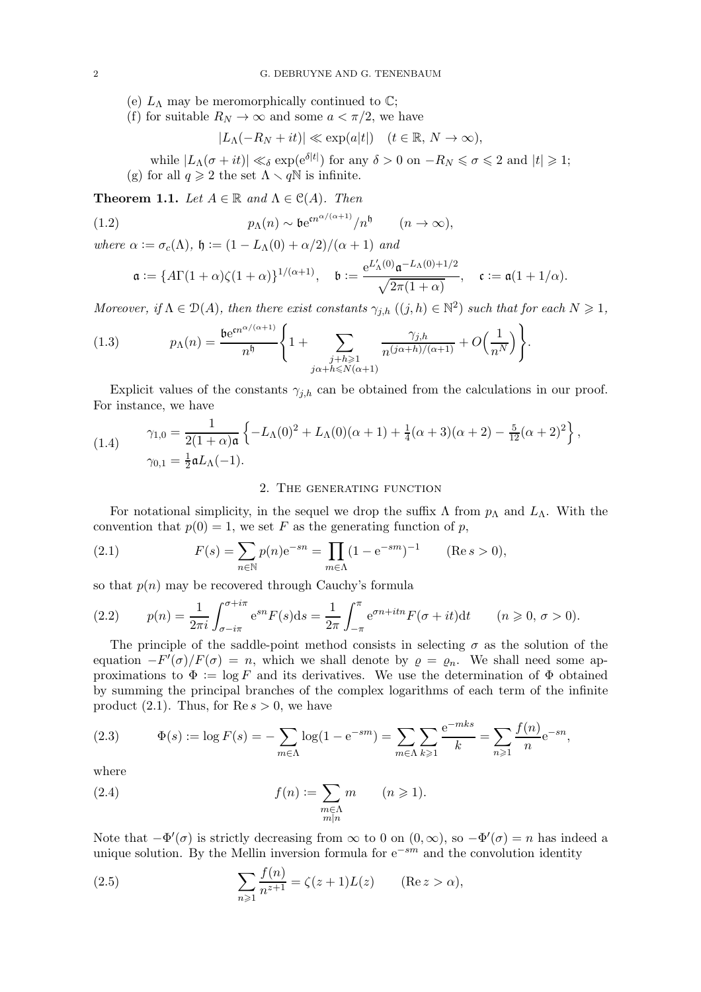- (e)  $L_{\Lambda}$  may be meromorphically continued to  $\mathbb{C}$ ;
- (f) for suitable  $R_N \to \infty$  and some  $a < \pi/2$ , we have

$$
|L_\Lambda(-R_N+it)|\ll \exp(a|t|)\quad (t\in\mathbb{R},\,N\to\infty),
$$

while  $|L_\Lambda(\sigma+it)| \ll_\delta \exp(e^{\delta|t|})$  for any  $\delta > 0$  on  $-R_N \leq \sigma \leq 2$  and  $|t| \geq 1$ ; (g) for all  $q \ge 2$  the set  $\Lambda \setminus q\mathbb{N}$  is infinite.

**Theorem 1.1.** Let  $A \in \mathbb{R}$  and  $\Lambda \in \mathcal{C}(A)$ . Then

(1.2) 
$$
p_{\Lambda}(n) \sim b e^{cn^{\alpha/(\alpha+1)}}/n^{\mathfrak{h}} \qquad (n \to \infty),
$$

where  $\alpha := \sigma_c(\Lambda)$ ,  $\mathfrak{h} := (1 - L_{\Lambda}(0) + \alpha/2)/(\alpha + 1)$  and

$$
\mathfrak{a}:=\{A\Gamma(1+\alpha)\zeta(1+\alpha)\}^{1/(\alpha+1)},\quad \mathfrak{b}:=\frac{\mathrm{e}^{L'_\Lambda(0)}\mathfrak{a}^{-L_\Lambda(0)+1/2}}{\sqrt{2\pi(1+\alpha)}},\quad \mathfrak{c}:=\mathfrak{a}(1+1/\alpha).
$$

Moreover, if  $\Lambda \in \mathcal{D}(A)$ , then there exist constants  $\gamma_{j,h}$   $((j,h) \in \mathbb{N}^2)$  such that for each  $N \geq 1$ ,

(1.3) 
$$
p_{\Lambda}(n) = \frac{\mathfrak{b}e^{in^{\alpha/(\alpha+1)}}}{n^{\mathfrak{h}}} \left\{ 1 + \sum_{\substack{j+h \geqslant 1 \\ j\alpha+h \leqslant N(\alpha+1)}} \frac{\gamma_{j,h}}{n^{(j\alpha+h)/( \alpha+1)}} + O\left(\frac{1}{n^N}\right) \right\}.
$$

Explicit values of the constants  $\gamma_{j,h}$  can be obtained from the calculations in our proof. For instance, we have

(1.4) 
$$
\gamma_{1,0} = \frac{1}{2(1+\alpha)\mathfrak{a}} \left\{-L_{\Lambda}(0)^2 + L_{\Lambda}(0)(\alpha+1) + \frac{1}{4}(\alpha+3)(\alpha+2) - \frac{5}{12}(\alpha+2)^2\right\},
$$

$$
\gamma_{0,1} = \frac{1}{2}\mathfrak{a}L_{\Lambda}(-1).
$$

### 2. The generating function

For notational simplicity, in the sequel we drop the suffix  $\Lambda$  from  $p_{\Lambda}$  and  $L_{\Lambda}$ . With the convention that  $p(0) = 1$ , we set F as the generating function of p,

(2.1) 
$$
F(s) = \sum_{n \in \mathbb{N}} p(n) e^{-sn} = \prod_{m \in \Lambda} (1 - e^{-sm})^{-1} \qquad (\text{Re } s > 0),
$$

so that  $p(n)$  may be recovered through Cauchy's formula

(2.2) 
$$
p(n) = \frac{1}{2\pi i} \int_{\sigma - i\pi}^{\sigma + i\pi} e^{sn} F(s) ds = \frac{1}{2\pi} \int_{-\pi}^{\pi} e^{\sigma n + itn} F(\sigma + it) dt \qquad (n \geq 0, \sigma > 0).
$$

The principle of the saddle-point method consists in selecting  $\sigma$  as the solution of the equation  $-F'(\sigma)/F(\sigma) = n$ , which we shall denote by  $\rho = \rho_n$ . We shall need some approximations to  $\Phi := \log F$  and its derivatives. We use the determination of  $\Phi$  obtained by summing the principal branches of the complex logarithms of each term of the infinite product  $(2.1)$ . Thus, for  $\text{Re } s > 0$ , we have

(2.3) 
$$
\Phi(s) := \log F(s) = -\sum_{m \in \Lambda} \log(1 - e^{-sm}) = \sum_{m \in \Lambda} \sum_{k \ge 1} \frac{e^{-mks}}{k} = \sum_{n \ge 1} \frac{f(n)}{n} e^{-sn},
$$

where

(2.4) 
$$
f(n) := \sum_{\substack{m \in \Lambda \\ m|n}} m \qquad (n \geqslant 1).
$$

Note that  $-\Phi'(\sigma)$  is strictly decreasing from  $\infty$  to 0 on  $(0, \infty)$ , so  $-\Phi'(\sigma) = n$  has indeed a unique solution. By the Mellin inversion formula for  $e^{-sm}$  and the convolution identity

(2.5) 
$$
\sum_{n\geq 1} \frac{f(n)}{n^{z+1}} = \zeta(z+1)L(z) \quad (\text{Re } z > \alpha),
$$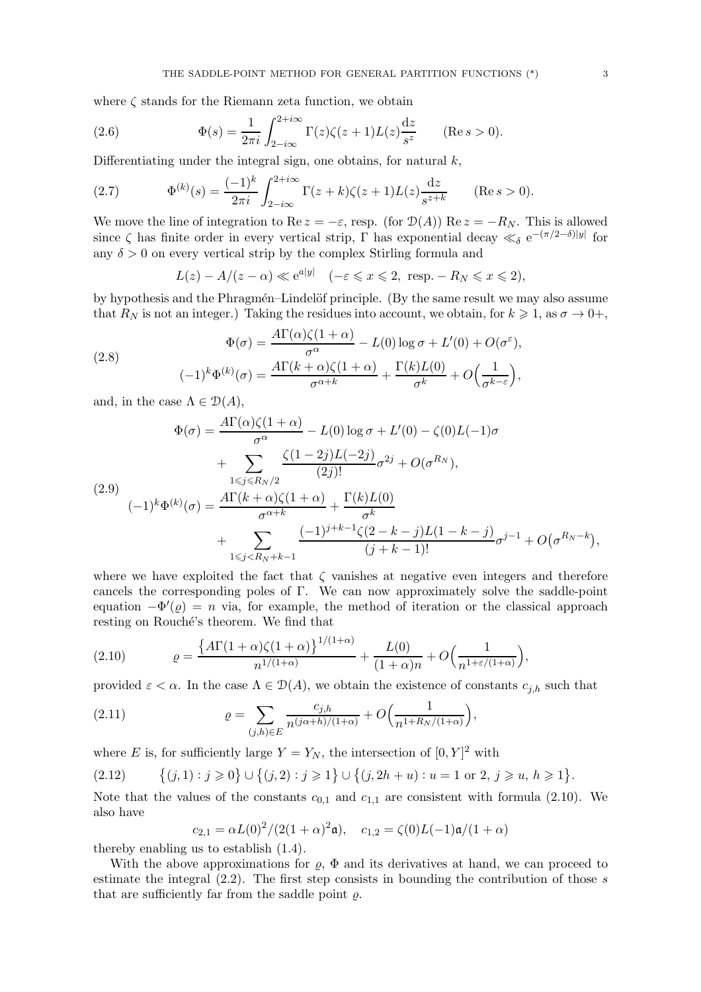where  $\zeta$  stands for the Riemann zeta function, we obtain

(2.6) 
$$
\Phi(s) = \frac{1}{2\pi i} \int_{2-i\infty}^{2+i\infty} \Gamma(z) \zeta(z+1) L(z) \frac{dz}{s^z} \quad (\text{Re } s > 0).
$$

Differentiating under the integral sign, one obtains, for natural  $k$ ,

(2.7) 
$$
\Phi^{(k)}(s) = \frac{(-1)^k}{2\pi i} \int_{2-i\infty}^{2+i\infty} \Gamma(z+k)\zeta(z+1)L(z) \frac{dz}{s^{z+k}} \quad (\text{Re } s > 0).
$$

We move the line of integration to Re  $z = -\varepsilon$ , resp. (for  $\mathcal{D}(A)$ ) Re  $z = -R_N$ . This is allowed since  $\zeta$  has finite order in every vertical strip,  $\Gamma$  has exponential decay  $\ll_{\delta} e^{-(\pi/2-\delta)|y|}$  for any  $\delta > 0$  on every vertical strip by the complex Stirling formula and

 $L(z) - A/(z - \alpha) \ll e^{a|y|} \quad (-\varepsilon \leq x \leq 2, \text{ resp. } -R_N \leq x \leq 2),$ 

by hypothesis and the Phragmén–Lindelöf principle. (By the same result we may also assume that  $R_N$  is not an integer.) Taking the residues into account, we obtain, for  $k \geq 1$ , as  $\sigma \to 0^+$ ,

(2.8)  

$$
\Phi(\sigma) = \frac{A\Gamma(\alpha)\zeta(1+\alpha)}{\sigma^{\alpha}} - L(0)\log \sigma + L'(0) + O(\sigma^{\varepsilon}),
$$

$$
(-1)^{k}\Phi^{(k)}(\sigma) = \frac{A\Gamma(k+\alpha)\zeta(1+\alpha)}{\sigma^{\alpha+k}} + \frac{\Gamma(k)L(0)}{\sigma^{k}} + O\left(\frac{1}{\sigma^{k-\varepsilon}}\right),
$$

and, in the case  $\Lambda \in \mathcal{D}(A)$ ,

$$
\Phi(\sigma) = \frac{A\Gamma(\alpha)\zeta(1+\alpha)}{\sigma^{\alpha}} - L(0)\log\sigma + L'(0) - \zeta(0)L(-1)\sigma
$$

$$
+ \sum_{1 \le j \le R_N/2} \frac{\zeta(1-2j)L(-2j)}{(2j)!} \sigma^{2j} + O(\sigma^{R_N}),
$$

$$
(2.9)
$$

$$
(-1)^{k} \Phi^{(k)}(\sigma) = \frac{A\Gamma(k+\alpha)\zeta(1+\alpha)}{\sigma^{\alpha+k}} + \frac{\Gamma(k)L(0)}{\sigma^k}
$$

$$
+ \sum_{1 \le j < R_N + k-1} \frac{(-1)^{j+k-1}\zeta(2-k-j)L(1-k-j)}{(j+k-1)!} \sigma^{j-1} + O(\sigma^{R_N - k})
$$

where we have exploited the fact that  $\zeta$  vanishes at negative even integers and therefore cancels the corresponding poles of Γ. We can now approximately solve the saddle-point equation  $-\Phi'(\varrho) = n$  via, for example, the method of iteration or the classical approach resting on Rouché's theorem. We find that

(2.10) 
$$
\varrho = \frac{\left\{A\Gamma(1+\alpha)\zeta(1+\alpha)\right\}^{1/(1+\alpha)}}{n^{1/(1+\alpha)}} + \frac{L(0)}{(1+\alpha)n} + O\left(\frac{1}{n^{1+\varepsilon/(1+\alpha)}}\right),
$$

provided  $\varepsilon < \alpha$ . In the case  $\Lambda \in \mathcal{D}(A)$ , we obtain the existence of constants  $c_{j,h}$  such that

(2.11) 
$$
\varrho = \sum_{(j,h)\in E} \frac{c_{j,h}}{n^{(j\alpha+h)/(1+\alpha)}} + O\Big(\frac{1}{n^{1+R_N/(1+\alpha)}}\Big),
$$

where E is, for sufficiently large  $Y = Y_N$ , the intersection of  $[0, Y]^2$  with

$$
(2.12) \qquad \{(j,1): j \geq 0\} \cup \{(j,2): j \geq 1\} \cup \{(j,2h+u): u=1 \text{ or } 2, j \geq u, h \geq 1\}.
$$

Note that the values of the constants  $c_{0,1}$  and  $c_{1,1}$  are consistent with formula (2.10). We also have

$$
c_{2,1} = \alpha L(0)^2 / (2(1+\alpha)^2 \mathfrak{a}), \quad c_{1,2} = \zeta(0)L(-1)\mathfrak{a}/(1+\alpha)
$$

thereby enabling us to establish (1.4).

With the above approximations for  $\varrho$ ,  $\Phi$  and its derivatives at hand, we can proceed to estimate the integral  $(2.2)$ . The first step consists in bounding the contribution of those s that are sufficiently far from the saddle point  $\rho$ .

,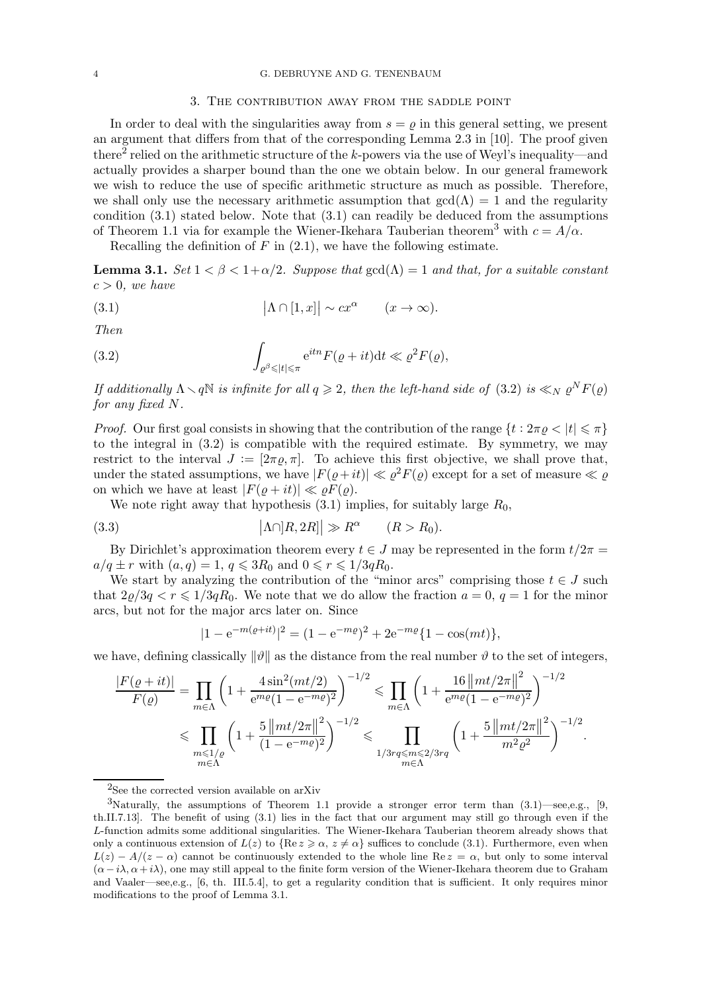### 4 G. DEBRUYNE AND G. TENENBAUM

#### 3. The contribution away from the saddle point

In order to deal with the singularities away from  $s = \rho$  in this general setting, we present an argument that differs from that of the corresponding Lemma 2.3 in [10]. The proof given there<sup>2</sup> relied on the arithmetic structure of the *k*-powers via the use of Weyl's inequality—and actually provides a sharper bound than the one we obtain below. In our general framework we wish to reduce the use of specific arithmetic structure as much as possible. Therefore, we shall only use the necessary arithmetic assumption that  $gcd(\Lambda) = 1$  and the regularity condition (3.1) stated below. Note that (3.1) can readily be deduced from the assumptions of Theorem 1.1 via for example the Wiener-Ikehara Tauberian theorem<sup>3</sup> with  $c = A/\alpha$ .

Recalling the definition of  $F$  in  $(2.1)$ , we have the following estimate.

**Lemma 3.1.** Set  $1 < \beta < 1 + \alpha/2$ . Suppose that  $gcd(\Lambda) = 1$  and that, for a suitable constant  $c > 0$ , we have

(3.1) 
$$
|\Lambda \cap [1, x]| \sim cx^{\alpha} \qquad (x \to \infty).
$$

Then

(3.2) 
$$
\int_{\varrho^{\beta} \leqslant |t| \leqslant \pi} e^{itn} F(\varrho + it) dt \ll \varrho^2 F(\varrho),
$$

If additionally  $\Lambda \setminus q\mathbb{N}$  is infinite for all  $q \geqslant 2$ , then the left-hand side of (3.2) is  $\ll_N \varrho^N F(\varrho)$ for any fixed N.

*Proof.* Our first goal consists in showing that the contribution of the range  $\{t : 2\pi \rho < |t| \leq \pi\}$ to the integral in (3.2) is compatible with the required estimate. By symmetry, we may restrict to the interval  $J := [2\pi \rho, \pi]$ . To achieve this first objective, we shall prove that, under the stated assumptions, we have  $|F(\varrho+it)| \ll \varrho^2 F(\varrho)$  except for a set of measure  $\ll \varrho$ on which we have at least  $|F(\rho + it)| \ll \rho F(\rho)$ .

We note right away that hypothesis  $(3.1)$  implies, for suitably large  $R_0$ ,

(3.3) 
$$
\left|\Lambda\cap R, 2R\right| \gg R^{\alpha} \qquad (R > R_0).
$$

By Dirichlet's approximation theorem every  $t \in J$  may be represented in the form  $t/2\pi =$  $a/q \pm r$  with  $(a,q) = 1, q \leq 3R_0$  and  $0 \leq r \leq 1/3qR_0$ .

We start by analyzing the contribution of the "minor arcs" comprising those  $t \in J$  such that  $2\varrho/3q < r \leq 1/3qR_0$ . We note that we do allow the fraction  $a = 0$ ,  $q = 1$  for the minor arcs, but not for the major arcs later on. Since

$$
|1 - e^{-m(\varrho + it)}|^2 = (1 - e^{-m\varrho})^2 + 2e^{-m\varrho} \{1 - \cos(mt)\},
$$

we have, defining classically  $\|\vartheta\|$  as the distance from the real number  $\vartheta$  to the set of integers,

$$
\frac{|F(\varrho + it)|}{F(\varrho)} = \prod_{m \in \Lambda} \left( 1 + \frac{4 \sin^2(mt/2)}{e^{m\varrho}(1 - e^{-m\varrho})^2} \right)^{-1/2} \leq \prod_{m \in \Lambda} \left( 1 + \frac{16 \left\| mt/2\pi \right\|^2}{e^{m\varrho}(1 - e^{-m\varrho})^2} \right)^{-1/2} \leq \prod_{m \leq 1/\varrho \atop m \in \Lambda} \left( 1 + \frac{5 \left\| mt/2\pi \right\|^2}{(1 - e^{-m\varrho})^2} \right)^{-1/2} \leq \prod_{1/3\leq m \leq 2/3r\varrho \atop m \in \Lambda} \left( 1 + \frac{5 \left\| mt/2\pi \right\|^2}{m^2 \varrho^2} \right)^{-1/2}.
$$

 ${}^{2}\mathrm{See}$  the corrected version available on arXiv

<sup>3</sup>Naturally, the assumptions of Theorem 1.1 provide a stronger error term than (3.1)—see,e.g., [9, th.II.7.13]. The benefit of using (3.1) lies in the fact that our argument may still go through even if the L-function admits some additional singularities. The Wiener-Ikehara Tauberian theorem already shows that only a continuous extension of  $L(z)$  to  $\{\text{Re } z \geqslant \alpha, z \neq \alpha\}$  suffices to conclude (3.1). Furthermore, even when  $L(z) - A/(z - \alpha)$  cannot be continuously extended to the whole line Re  $z = \alpha$ , but only to some interval  $(\alpha - i\lambda, \alpha + i\lambda)$ , one may still appeal to the finite form version of the Wiener-Ikehara theorem due to Graham and Vaaler—see,e.g., [6, th. III.5.4], to get a regularity condition that is sufficient. It only requires minor modifications to the proof of Lemma 3.1.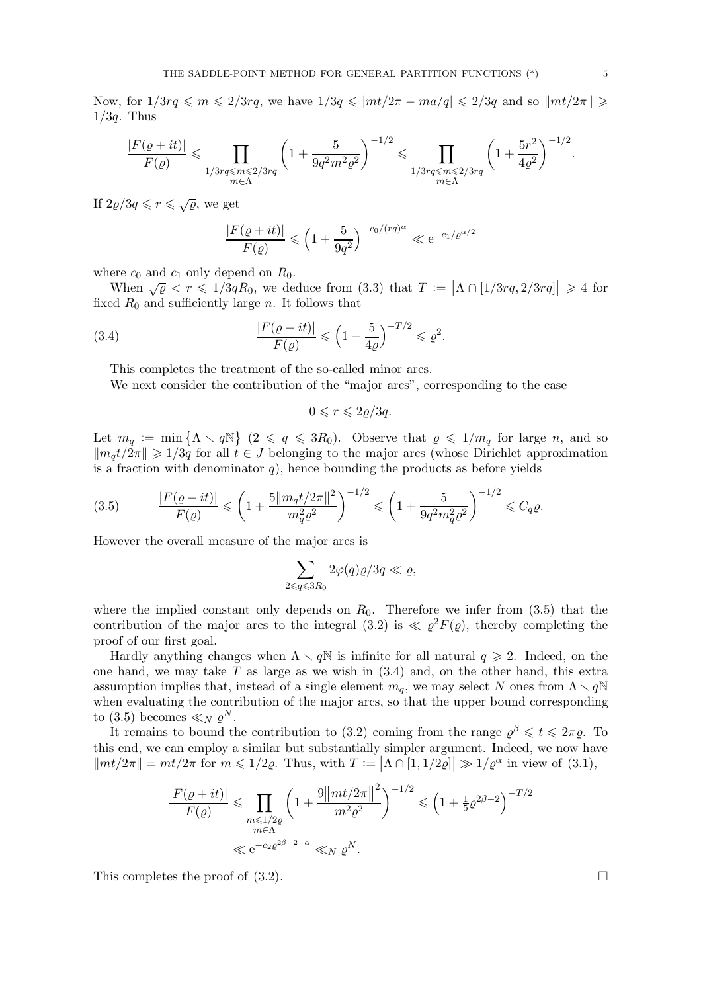Now, for  $1/3rq \leq m \leq 2/3rq$ , we have  $1/3q \leq |mt/2\pi - ma/q| \leq 2/3q$  and so  $\|mt/2\pi\| \geq$  $1/3q$ . Thus

$$
\frac{|F(\varrho+it)|}{F(\varrho)} \leqslant \prod_{\substack{1/3rq \leqslant m \leqslant 2/3rq \\ m \in \Lambda}} \left(1 + \frac{5}{9q^2m^2\varrho^2} \right)^{-1/2} \leqslant \prod_{\substack{1/3rq \leqslant m \leqslant 2/3rq \\ m \in \Lambda}} \left(1 + \frac{5r^2}{4\varrho^2} \right)^{-1/2}.
$$

If  $2\varrho/3q \leqslant r \leqslant \sqrt{\varrho}$ , we get

$$
\frac{|F(\varrho+it)|}{F(\varrho)}\leqslant \left(1+\frac{5}{9q^2}\right)^{-c_0/(rq)^\alpha}\ll {\rm e}^{-c_1/\varrho^{\alpha/2}}
$$

where  $c_0$  and  $c_1$  only depend on  $R_0$ .

When  $\sqrt{\varrho} \leq r \leq 1/3qR_0$ , we deduce from (3.3) that  $T := |\Lambda \cap [1/3rq, 2/3rq]| \geq 4$  for fixed  $R_0$  and sufficiently large n. It follows that

(3.4) 
$$
\frac{|F(\varrho + it)|}{F(\varrho)} \leq (1 + \frac{5}{4\varrho})^{-T/2} \leq \varrho^2.
$$

This completes the treatment of the so-called minor arcs.

We next consider the contribution of the "major arcs", corresponding to the case

 $0 \leqslant r \leqslant 2\rho/3q$ .

Let  $m_q := \min \{ \Lambda \setminus q\mathbb{N} \}$   $(2 \leqslant q \leqslant 3R_0)$ . Observe that  $\varrho \leqslant 1/m_q$  for large n, and so  $\|m_qt/2\pi\| \geq 1/3q$  for all  $t \in J$  belonging to the major arcs (whose Dirichlet approximation is a fraction with denominator  $q$ ), hence bounding the products as before yields

(3.5) 
$$
\frac{|F(\varrho + it)|}{F(\varrho)} \leqslant \left(1 + \frac{5\|m_q t/2\pi\|^2}{m_q^2 \varrho^2}\right)^{-1/2} \leqslant \left(1 + \frac{5}{9q^2m_q^2 \varrho^2}\right)^{-1/2} \leqslant C_q \varrho.
$$

However the overall measure of the major arcs is

$$
\sum_{2\leqslant q\leqslant 3R_0} 2\varphi(q)\varrho/3q\ll\varrho,
$$

where the implied constant only depends on  $R_0$ . Therefore we infer from (3.5) that the contribution of the major arcs to the integral (3.2) is  $\ll \rho^2 F(\rho)$ , thereby completing the proof of our first goal.

Hardly anything changes when  $\Lambda \setminus q\mathbb{N}$  is infinite for all natural  $q \geqslant 2$ . Indeed, on the one hand, we may take  $T$  as large as we wish in  $(3.4)$  and, on the other hand, this extra assumption implies that, instead of a single element  $m_q$ , we may select N ones from  $\Lambda \setminus q\mathbb{N}$ when evaluating the contribution of the major arcs, so that the upper bound corresponding to (3.5) becomes  $\ll_N \rho^N$ .

It remains to bound the contribution to (3.2) coming from the range  $\varrho^{\beta} \leq t \leq 2\pi\varrho$ . To this end, we can employ a similar but substantially simpler argument. Indeed, we now have  $\|mt/2\pi\| = mt/2\pi$  for  $m \leq 1/2\varrho$ . Thus, with  $T := |\Lambda \cap [1, 1/2\varrho]| \gg 1/\varrho^{\alpha}$  in view of  $(3.1)$ ,

$$
\frac{|F(\varrho + it)|}{F(\varrho)} \le \prod_{\substack{m \le 1/2\varrho \\ m \in \Lambda}} \left(1 + \frac{9||mt/2\pi||^2}{m^2 \varrho^2}\right)^{-1/2} \le \left(1 + \frac{1}{5}\varrho^{2\beta - 2}\right)^{-T/2}
$$
  

$$
\ll e^{-c_2\varrho^{2\beta - 2 - \alpha}} \ll_N \varrho^N.
$$

This completes the proof of  $(3.2)$ .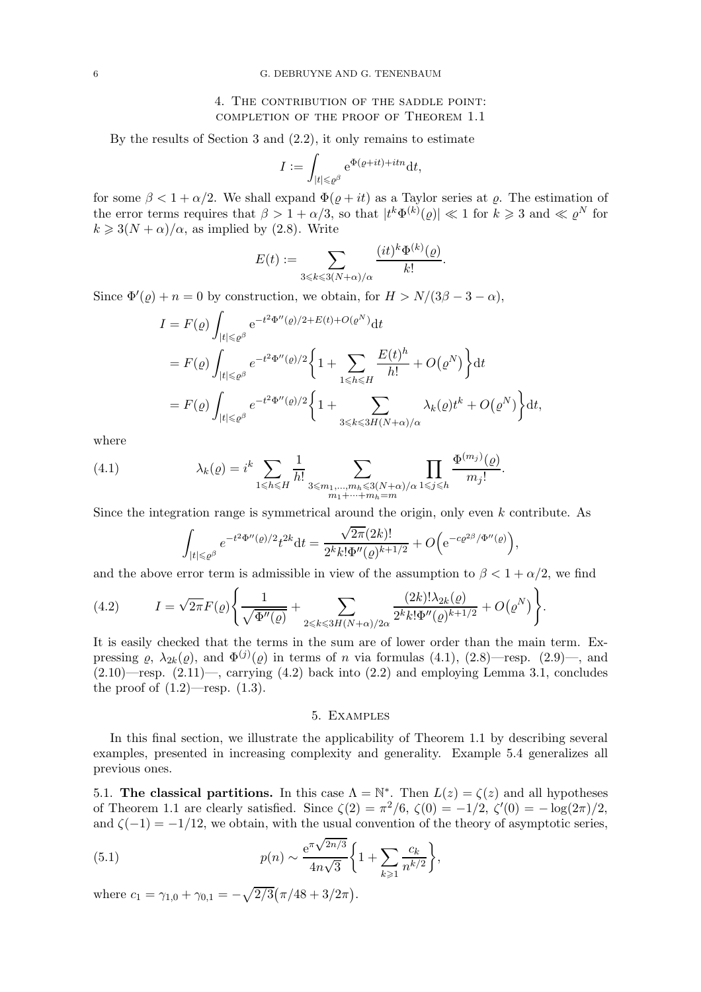# 4. The contribution of the saddle point: completion of the proof of Theorem 1.1

By the results of Section 3 and (2.2), it only remains to estimate

$$
I := \int_{|t| \le \rho^{\beta}} e^{\Phi(\varrho + it) + itn} dt,
$$

for some  $\beta < 1 + \alpha/2$ . We shall expand  $\Phi(\rho + it)$  as a Taylor series at  $\rho$ . The estimation of the error terms requires that  $\beta > 1 + \alpha/3$ , so that  $|t^k \Phi^{(k)}(\varrho)| \ll 1$  for  $k \geq 3$  and  $\ll \varrho^N$  for  $k \geq 3(N+\alpha)/\alpha$ , as implied by (2.8). Write

$$
E(t) := \sum_{3 \leq k \leq 3(N+\alpha)/\alpha} \frac{(it)^k \Phi^{(k)}(\varrho)}{k!}.
$$

 $(k)$ 

Since  $\Phi'(\varrho) + n = 0$  by construction, we obtain, for  $H > N/(3\beta - 3 - \alpha)$ ,

$$
I = F(\varrho) \int_{|t| \leq \varrho^{\beta}} e^{-t^2 \Phi''(\varrho)/2 + E(t) + O(\varrho^N)} dt
$$
  
\n
$$
= F(\varrho) \int_{|t| \leq \varrho^{\beta}} e^{-t^2 \Phi''(\varrho)/2} \left\{ 1 + \sum_{1 \leq h \leq H} \frac{E(t)^h}{h!} + O(\varrho^N) \right\} dt
$$
  
\n
$$
= F(\varrho) \int_{|t| \leq \varrho^{\beta}} e^{-t^2 \Phi''(\varrho)/2} \left\{ 1 + \sum_{3 \leq k \leq 3H(N+\alpha)/\alpha} \lambda_k(\varrho) t^k + O(\varrho^N) \right\} dt,
$$

where

(4.1) 
$$
\lambda_k(\varrho) = i^k \sum_{1 \leq h \leq H} \frac{1}{h!} \sum_{3 \leq m_1, \dots, m_h \leq 3(N+\alpha)/\alpha} \prod_{1 \leq j \leq h} \frac{\Phi^{(m_j)}(\varrho)}{m_j!}.
$$

Since the integration range is symmetrical around the origin, only even k contribute. As

$$
\int_{|t| \leqslant \varrho^\beta} e^{-t^2 \Phi''(\varrho)/2} t^{2k} \mathrm{d} t = \frac{\sqrt{2\pi} (2k)!}{2^k k! \Phi''(\varrho)^{k+1/2}} + O\Big(\mathrm{e}^{-c \varrho^{2\beta}/\Phi''(\varrho)}\Big),
$$

and the above error term is admissible in view of the assumption to  $\beta < 1 + \alpha/2$ , we find

(4.2) 
$$
I = \sqrt{2\pi} F(\varrho) \left\{ \frac{1}{\sqrt{\Phi''(\varrho)}} + \sum_{2 \le k \le 3H(N+\alpha)/2\alpha} \frac{(2k)! \lambda_{2k}(\varrho)}{2^k k! \Phi''(\varrho)^{k+1/2}} + O(\varrho^N) \right\}.
$$

It is easily checked that the terms in the sum are of lower order than the main term. Expressing  $\varrho$ ,  $\lambda_{2k}(\varrho)$ , and  $\Phi^{(j)}(\varrho)$  in terms of *n* via formulas (4.1), (2.8)—resp. (2.9)—, and  $(2.10)$ —resp.  $(2.11)$ —, carrying  $(4.2)$  back into  $(2.2)$  and employing Lemma 3.1, concludes the proof of  $(1.2)$ —resp.  $(1.3)$ .

## 5. Examples

In this final section, we illustrate the applicability of Theorem 1.1 by describing several examples, presented in increasing complexity and generality. Example 5.4 generalizes all previous ones.

5.1. The classical partitions. In this case  $\Lambda = \mathbb{N}^*$ . Then  $L(z) = \zeta(z)$  and all hypotheses of Theorem 1.1 are clearly satisfied. Since  $\zeta(2) = \pi^2/6$ ,  $\zeta(0) = -1/2$ ,  $\zeta'(0) = -\log(2\pi)/2$ , and  $\zeta(-1) = -1/12$ , we obtain, with the usual convention of the theory of asymptotic series,

(5.1) 
$$
p(n) \sim \frac{e^{\pi \sqrt{2n/3}}}{4n\sqrt{3}} \left\{ 1 + \sum_{k \geq 1} \frac{c_k}{n^{k/2}} \right\},\,
$$

where  $c_1 = \gamma_{1,0} + \gamma_{0,1} = -\sqrt{2/3} (\pi/48 + 3/2\pi)$ .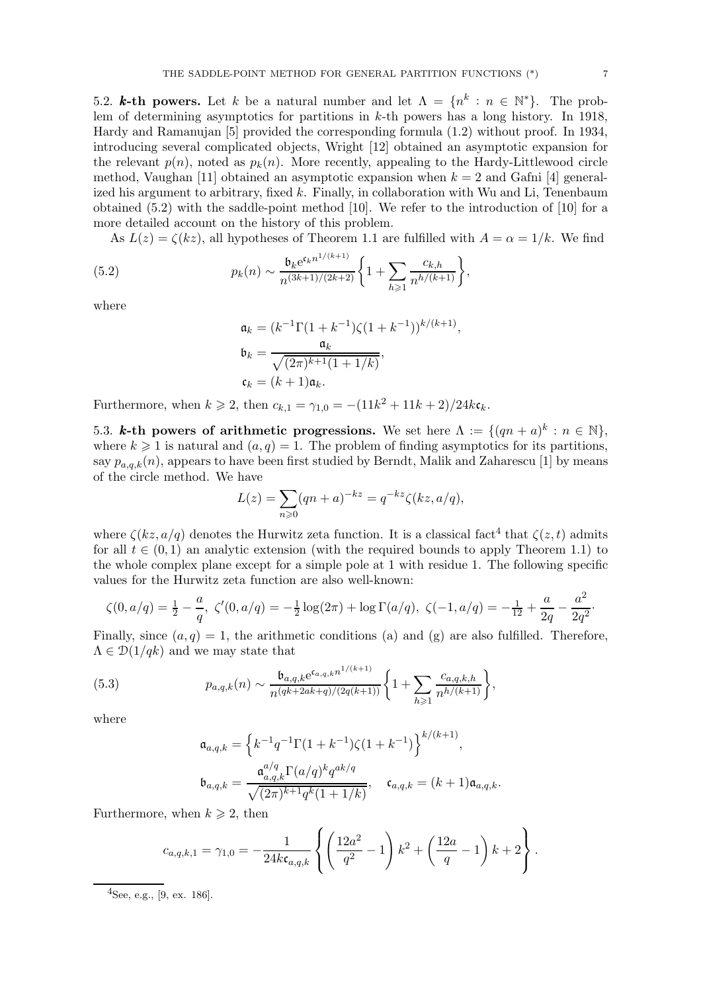5.2. **k-th powers.** Let k be a natural number and let  $\Lambda = \{n^k : n \in \mathbb{N}^*\}$ . The problem of determining asymptotics for partitions in  $k$ -th powers has a long history. In 1918, Hardy and Ramanujan [5] provided the corresponding formula (1.2) without proof. In 1934, introducing several complicated objects, Wright [12] obtained an asymptotic expansion for the relevant  $p(n)$ , noted as  $p_k(n)$ . More recently, appealing to the Hardy-Littlewood circle method, Vaughan [11] obtained an asymptotic expansion when  $k = 2$  and Gafni [4] generalized his argument to arbitrary, fixed k. Finally, in collaboration with Wu and Li, Tenenbaum obtained (5.2) with the saddle-point method [10]. We refer to the introduction of [10] for a more detailed account on the history of this problem.

As  $L(z) = \zeta(kz)$ , all hypotheses of Theorem 1.1 are fulfilled with  $A = \alpha = 1/k$ . We find

(5.2) 
$$
p_k(n) \sim \frac{\mathfrak{b}_k e^{\mathfrak{c}_k n^{1/(k+1)}}}{n^{(3k+1)/(2k+2)}} \bigg\{ 1 + \sum_{h \geqslant 1} \frac{c_{k,h}}{n^{h/(k+1)}} \bigg\},
$$

where

$$
\mathfrak{a}_k = (k^{-1} \Gamma(1 + k^{-1}) \zeta(1 + k^{-1}))^{k/(k+1)},
$$
  
\n
$$
\mathfrak{b}_k = \frac{\mathfrak{a}_k}{\sqrt{(2\pi)^{k+1}(1 + 1/k)}},
$$
  
\n
$$
\mathfrak{c}_k = (k+1)\mathfrak{a}_k.
$$

Furthermore, when  $k \ge 2$ , then  $c_{k,1} = \gamma_{1,0} = -(11k^2 + 11k + 2)/24k\mathfrak{c}_k$ .

5.3. k-th powers of arithmetic progressions. We set here  $\Lambda := \{ (qn + a)^k : n \in \mathbb{N} \},\$ where  $k \geq 1$  is natural and  $(a, q) = 1$ . The problem of finding asymptotics for its partitions, say  $p_{a,q,k}(n)$ , appears to have been first studied by Berndt, Malik and Zaharescu [1] by means of the circle method. We have

$$
L(z) = \sum_{n \ge 0} (qn + a)^{-kz} = q^{-kz} \zeta(kz, a/q),
$$

where  $\zeta(kz, a/q)$  denotes the Hurwitz zeta function. It is a classical fact<sup>4</sup> that  $\zeta(z, t)$  admits for all  $t \in (0, 1)$  an analytic extension (with the required bounds to apply Theorem 1.1) to the whole complex plane except for a simple pole at 1 with residue 1. The following specific values for the Hurwitz zeta function are also well-known:

$$
\zeta(0, a/q) = \frac{1}{2} - \frac{a}{q}, \ \zeta'(0, a/q) = -\frac{1}{2}\log(2\pi) + \log\Gamma(a/q), \ \zeta(-1, a/q) = -\frac{1}{12} + \frac{a}{2q} - \frac{a^2}{2q^2}.
$$

Finally, since  $(a, q) = 1$ , the arithmetic conditions (a) and (g) are also fulfilled. Therefore,  $\Lambda \in \mathcal{D}(1/qk)$  and we may state that

(5.3) 
$$
p_{a,q,k}(n) \sim \frac{\mathfrak{b}_{a,q,k} e^{\mathfrak{c}_{a,q,k} n^{1/(k+1)}}}{n^{(qk+2ak+q)/(2q(k+1))}} \bigg\{ 1 + \sum_{h \geqslant 1} \frac{c_{a,q,k,h}}{n^{h/(k+1)}} \bigg\},
$$

where

$$
\mathfrak{a}_{a,q,k} = \left\{ k^{-1} q^{-1} \Gamma(1+k^{-1}) \zeta(1+k^{-1}) \right\}^{k/(k+1)},
$$
  

$$
\mathfrak{b}_{a,q,k} = \frac{\mathfrak{a}_{a,q,k}^{a/q} \Gamma(a/q)^k q^{ak/q}}{\sqrt{(2\pi)^{k+1} q^k (1+1/k)}}, \quad \mathfrak{c}_{a,q,k} = (k+1) \mathfrak{a}_{a,q,k}.
$$

Furthermore, when  $k \geqslant 2$ , then

$$
c_{a,q,k,1} = \gamma_{1,0} = -\frac{1}{24k\mathfrak{c}_{a,q,k}} \left\{ \left( \frac{12a^2}{q^2} - 1 \right) k^2 + \left( \frac{12a}{q} - 1 \right) k + 2 \right\}.
$$

 $^{4}$ See, e.g., [9, ex. 186].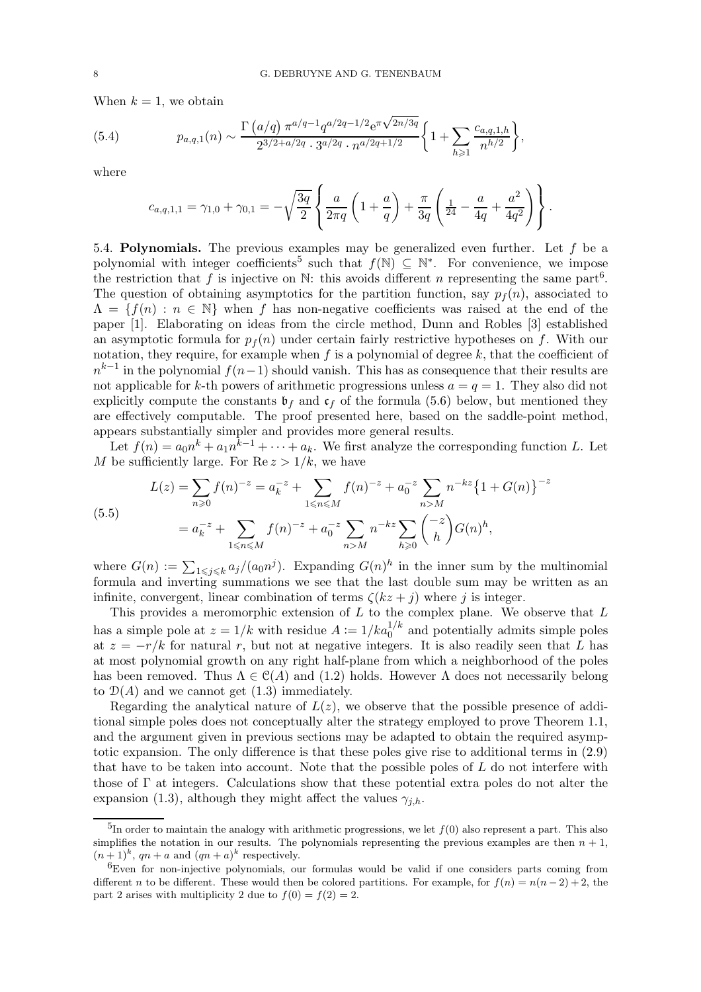When  $k = 1$ , we obtain

(5.4) 
$$
p_{a,q,1}(n) \sim \frac{\Gamma\left(a/q\right) \pi^{a/q-1} q^{a/2q-1/2} e^{\pi \sqrt{2n/3q}}}{2^{3/2+a/2q} \cdot 3^{a/2q} \cdot n^{a/2q+1/2}} \left\{1 + \sum_{h \geq 1} \frac{c_{a,q,1,h}}{n^{h/2}}\right\},
$$

where

$$
c_{a,q,1,1} = \gamma_{1,0} + \gamma_{0,1} = -\sqrt{\frac{3q}{2}} \left\{ \frac{a}{2\pi q} \left( 1 + \frac{a}{q} \right) + \frac{\pi}{3q} \left( \frac{1}{24} - \frac{a}{4q} + \frac{a^2}{4q^2} \right) \right\}.
$$

5.4. Polynomials. The previous examples may be generalized even further. Let  $f$  be a polynomial with integer coefficients<sup>5</sup> such that  $f(\mathbb{N}) \subseteq \mathbb{N}^*$ . For convenience, we impose the restriction that f is injective on  $\mathbb{N}$ : this avoids different n representing the same part<sup>6</sup>. The question of obtaining asymptotics for the partition function, say  $p_f(n)$ , associated to  $\Lambda = \{f(n) : n \in \mathbb{N}\}\$  when f has non-negative coefficients was raised at the end of the paper [1]. Elaborating on ideas from the circle method, Dunn and Robles [3] established an asymptotic formula for  $p_f(n)$  under certain fairly restrictive hypotheses on f. With our notation, they require, for example when f is a polynomial of degree  $k$ , that the coefficient of  $n^{k-1}$  in the polynomial  $f(n-1)$  should vanish. This has as consequence that their results are not applicable for k-th powers of arithmetic progressions unless  $a = q = 1$ . They also did not explicitly compute the constants  $\mathfrak{b}_f$  and  $\mathfrak{c}_f$  of the formula (5.6) below, but mentioned they are effectively computable. The proof presented here, based on the saddle-point method, appears substantially simpler and provides more general results.

Let  $f(n) = a_0 n^k + a_1 n^{k-1} + \cdots + a_k$ . We first analyze the corresponding function L. Let M be sufficiently large. For  $\text{Re } z > 1/k$ , we have

$$
L(z) = \sum_{n\geq 0} f(n)^{-z} = a_k^{-z} + \sum_{1\leq n\leq M} f(n)^{-z} + a_0^{-z} \sum_{n>M} n^{-kz} \{1 + G(n)\}^{-z}
$$

$$
= a_k^{-z} + \sum_{1\leq n\leq M} f(n)^{-z} + a_0^{-z} \sum_{n>M} n^{-kz} \sum_{h\geq 0} {\binom{-z}{h}} G(n)^h,
$$

(5.5)

where  $G(n) := \sum_{1 \leq j \leq k} a_j/(a_0 n^j)$ . Expanding  $G(n)^h$  in the inner sum by the multinomial formula and inverting summations we see that the last double sum may be written as an infinite, convergent, linear combination of terms  $\zeta(kz + j)$  where j is integer.

This provides a meromorphic extension of  $L$  to the complex plane. We observe that  $L$ has a simple pole at  $z = 1/k$  with residue  $A := 1/ka_0^{1/k}$  and potentially admits simple poles at  $z = -r/k$  for natural r, but not at negative integers. It is also readily seen that L has at most polynomial growth on any right half-plane from which a neighborhood of the poles has been removed. Thus  $\Lambda \in \mathcal{C}(A)$  and (1.2) holds. However  $\Lambda$  does not necessarily belong to  $\mathcal{D}(A)$  and we cannot get  $(1.3)$  immediately.

Regarding the analytical nature of  $L(z)$ , we observe that the possible presence of additional simple poles does not conceptually alter the strategy employed to prove Theorem 1.1, and the argument given in previous sections may be adapted to obtain the required asymptotic expansion. The only difference is that these poles give rise to additional terms in (2.9) that have to be taken into account. Note that the possible poles of  $L$  do not interfere with those of Γ at integers. Calculations show that these potential extra poles do not alter the expansion (1.3), although they might affect the values  $\gamma_{i,h}$ .

 $^{5}$ In order to maintain the analogy with arithmetic progressions, we let  $f(0)$  also represent a part. This also simplifies the notation in our results. The polynomials representing the previous examples are then  $n + 1$ ,  $(n+1)^k$ ,  $qn + a$  and  $(qn + a)^k$  respectively.

 $6E$ ven for non-injective polynomials, our formulas would be valid if one considers parts coming from different n to be different. These would then be colored partitions. For example, for  $f(n) = n(n-2) + 2$ , the part 2 arises with multiplicity 2 due to  $f(0) = f(2) = 2$ .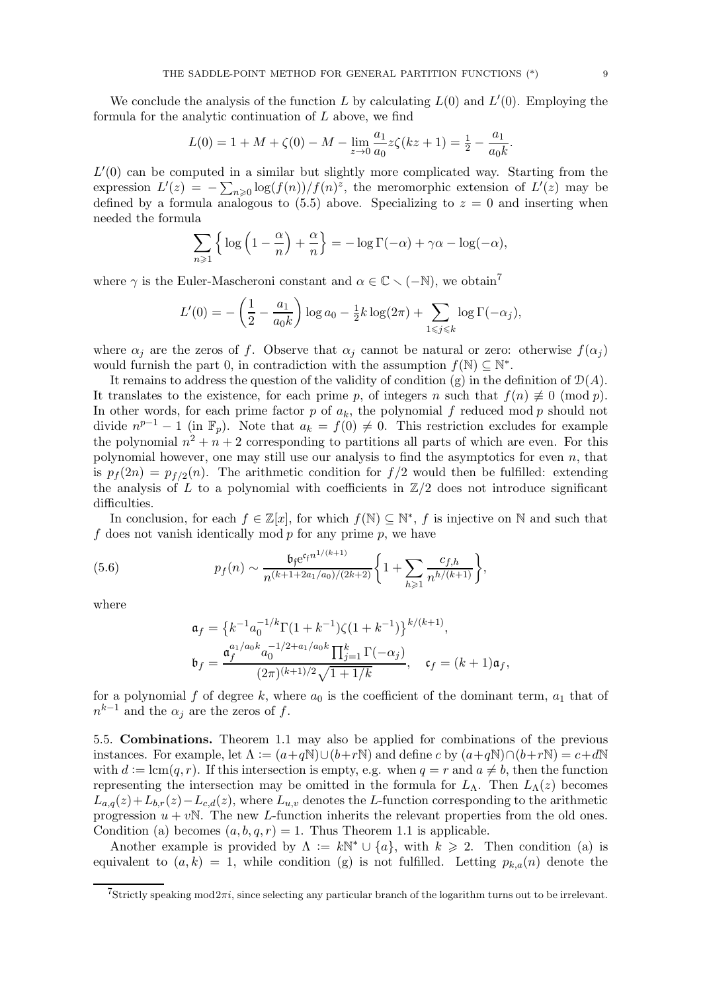We conclude the analysis of the function L by calculating  $L(0)$  and  $L'(0)$ . Employing the formula for the analytic continuation of L above, we find

$$
L(0) = 1 + M + \zeta(0) - M - \lim_{z \to 0} \frac{a_1}{a_0} z \zeta(kz + 1) = \frac{1}{2} - \frac{a_1}{a_0 k}.
$$

 $L'(0)$  can be computed in a similar but slightly more complicated way. Starting from the expression  $L'(z) = -\sum_{n\geqslant 0} \log(f(n))/f(n)^z$ , the meromorphic extension of  $L'(z)$  may be defined by a formula analogous to  $(5.5)$  above. Specializing to  $z = 0$  and inserting when needed the formula

$$
\sum_{n\geqslant 1}\left\{\log\left(1-\frac{\alpha}{n}\right)+\frac{\alpha}{n}\right\}=-\log\Gamma(-\alpha)+\gamma\alpha-\log(-\alpha),
$$

where  $\gamma$  is the Euler-Mascheroni constant and  $\alpha \in \mathbb{C} \setminus (-\mathbb{N})$ , we obtain<sup>7</sup>

$$
L'(0) = -\left(\frac{1}{2} - \frac{a_1}{a_0 k}\right) \log a_0 - \frac{1}{2} k \log(2\pi) + \sum_{1 \le j \le k} \log \Gamma(-\alpha_j),
$$

where  $\alpha_j$  are the zeros of f. Observe that  $\alpha_j$  cannot be natural or zero: otherwise  $f(\alpha_j)$ would furnish the part 0, in contradiction with the assumption  $f(\mathbb{N}) \subseteq \mathbb{N}^*$ .

It remains to address the question of the validity of condition (g) in the definition of  $\mathcal{D}(A)$ . It translates to the existence, for each prime p, of integers n such that  $f(n) \not\equiv 0 \pmod{p}$ . In other words, for each prime factor  $p$  of  $a_k$ , the polynomial  $f$  reduced mod  $p$  should not divide  $n^{p-1} - 1$  (in  $\mathbb{F}_p$ ). Note that  $a_k = f(0) \neq 0$ . This restriction excludes for example the polynomial  $n^2 + n + 2$  corresponding to partitions all parts of which are even. For this polynomial however, one may still use our analysis to find the asymptotics for even  $n$ , that is  $p_f(2n) = p_{f/2}(n)$ . The arithmetic condition for  $f/2$  would then be fulfilled: extending the analysis of L to a polynomial with coefficients in  $\mathbb{Z}/2$  does not introduce significant difficulties.

In conclusion, for each  $f \in \mathbb{Z}[x]$ , for which  $f(\mathbb{N}) \subseteq \mathbb{N}^*$ , f is injective on  $\mathbb N$  and such that f does not vanish identically mod  $p$  for any prime  $p$ , we have

(5.6) 
$$
p_f(n) \sim \frac{\mathfrak{b}_f e^{c_f n^{1/(k+1)}}}{n^{(k+1+2a_1/a_0)/(2k+2)}} \bigg\{1 + \sum_{h \geq 1} \frac{c_{f,h}}{n^{h/(k+1)}}\bigg\},
$$

where

$$
\mathfrak{a}_f = \left\{ k^{-1} a_0^{-1/k} \Gamma(1 + k^{-1}) \zeta(1 + k^{-1}) \right\}^{k/(k+1)},
$$
  
\n
$$
\mathfrak{b}_f = \frac{\mathfrak{a}_f^{a_1/a_0 k} a_0^{-1/2 + a_1/a_0 k} \prod_{j=1}^k \Gamma(-\alpha_j)}{(2\pi)^{(k+1)/2} \sqrt{1 + 1/k}}, \quad \mathfrak{c}_f = (k+1)\mathfrak{a}_f,
$$

for a polynomial f of degree k, where  $a_0$  is the coefficient of the dominant term,  $a_1$  that of  $n^{k-1}$  and the  $\alpha_j$  are the zeros of f.

5.5. Combinations. Theorem 1.1 may also be applied for combinations of the previous instances. For example, let  $\Lambda := (a+q\mathbb{N})\cup (b+r\mathbb{N})$  and define c by  $(a+q\mathbb{N})\cap (b+r\mathbb{N}) = c+d\mathbb{N}$ with  $d := \text{lcm}(q, r)$ . If this intersection is empty, e.g. when  $q = r$  and  $a \neq b$ , then the function representing the intersection may be omitted in the formula for  $L_{\Lambda}$ . Then  $L_{\Lambda}(z)$  becomes  $L_{a,q}(z)+L_{b,r}(z)-L_{c,d}(z)$ , where  $L_{u,v}$  denotes the L-function corresponding to the arithmetic progression  $u + v\mathbb{N}$ . The new L-function inherits the relevant properties from the old ones. Condition (a) becomes  $(a, b, q, r) = 1$ . Thus Theorem 1.1 is applicable.

Another example is provided by  $\Lambda := kN^* \cup \{a\}$ , with  $k \geq 2$ . Then condition (a) is equivalent to  $(a, k) = 1$ , while condition (g) is not fulfilled. Letting  $p_{k,a}(n)$  denote the

<sup>&</sup>lt;sup>7</sup>Strictly speaking mod $2\pi i$ , since selecting any particular branch of the logarithm turns out to be irrelevant.